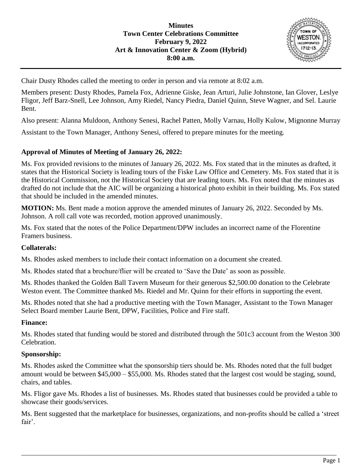

Chair Dusty Rhodes called the meeting to order in person and via remote at 8:02 a.m.

Members present: Dusty Rhodes, Pamela Fox, Adrienne Giske, Jean Arturi, Julie Johnstone, Ian Glover, Leslye Fligor, Jeff Barz-Snell, Lee Johnson, Amy Riedel, Nancy Piedra, Daniel Quinn, Steve Wagner, and Sel. Laurie Bent.

Also present: Alanna Muldoon, Anthony Senesi, Rachel Patten, Molly Varnau, Holly Kulow, Mignonne Murray

Assistant to the Town Manager, Anthony Senesi, offered to prepare minutes for the meeting.

## **Approval of Minutes of Meeting of January 26, 2022:**

Ms. Fox provided revisions to the minutes of January 26, 2022. Ms. Fox stated that in the minutes as drafted, it states that the Historical Society is leading tours of the Fiske Law Office and Cemetery. Ms. Fox stated that it is the Historical Commission, not the Historical Society that are leading tours. Ms. Fox noted that the minutes as drafted do not include that the AIC will be organizing a historical photo exhibit in their building. Ms. Fox stated that should be included in the amended minutes.

**MOTION:** Ms. Bent made a motion approve the amended minutes of January 26, 2022. Seconded by Ms. Johnson. A roll call vote was recorded, motion approved unanimously.

Ms. Fox stated that the notes of the Police Department/DPW includes an incorrect name of the Florentine Framers business.

#### **Collaterals:**

Ms. Rhodes asked members to include their contact information on a document she created.

Ms. Rhodes stated that a brochure/flier will be created to 'Save the Date' as soon as possible.

Ms. Rhodes thanked the Golden Ball Tavern Museum for their generous \$2,500.00 donation to the Celebrate Weston event. The Committee thanked Ms. Riedel and Mr. Quinn for their efforts in supporting the event.

Ms. Rhodes noted that she had a productive meeting with the Town Manager, Assistant to the Town Manager Select Board member Laurie Bent, DPW, Facilities, Police and Fire staff.

#### **Finance:**

Ms. Rhodes stated that funding would be stored and distributed through the 501c3 account from the Weston 300 Celebration.

#### **Sponsorship:**

Ms. Rhodes asked the Committee what the sponsorship tiers should be. Ms. Rhodes noted that the full budget amount would be between \$45,000 – \$55,000. Ms. Rhodes stated that the largest cost would be staging, sound, chairs, and tables.

Ms. Fligor gave Ms. Rhodes a list of businesses. Ms. Rhodes stated that businesses could be provided a table to showcase their goods/services.

Ms. Bent suggested that the marketplace for businesses, organizations, and non-profits should be called a 'street fair'.

\_\_\_\_\_\_\_\_\_\_\_\_\_\_\_\_\_\_\_\_\_\_\_\_\_\_\_\_\_\_\_\_\_\_\_\_\_\_\_\_\_\_\_\_\_\_\_\_\_\_\_\_\_\_\_\_\_\_\_\_\_\_\_\_\_\_\_\_\_\_\_\_\_\_\_\_\_\_\_\_\_\_\_\_\_\_\_\_\_\_\_\_\_\_\_\_\_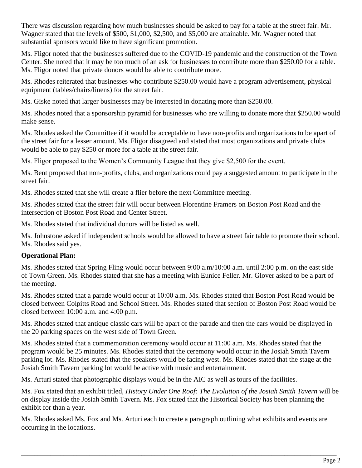There was discussion regarding how much businesses should be asked to pay for a table at the street fair. Mr. Wagner stated that the levels of \$500, \$1,000, \$2,500, and \$5,000 are attainable. Mr. Wagner noted that substantial sponsors would like to have significant promotion.

Ms. Fligor noted that the businesses suffered due to the COVID-19 pandemic and the construction of the Town Center. She noted that it may be too much of an ask for businesses to contribute more than \$250.00 for a table. Ms. Fligor noted that private donors would be able to contribute more.

Ms. Rhodes reiterated that businesses who contribute \$250.00 would have a program advertisement, physical equipment (tables/chairs/linens) for the street fair.

Ms. Giske noted that larger businesses may be interested in donating more than \$250.00.

Ms. Rhodes noted that a sponsorship pyramid for businesses who are willing to donate more that \$250.00 would make sense.

Ms. Rhodes asked the Committee if it would be acceptable to have non-profits and organizations to be apart of the street fair for a lesser amount. Ms. Fligor disagreed and stated that most organizations and private clubs would be able to pay \$250 or more for a table at the street fair.

Ms. Fligor proposed to the Women's Community League that they give \$2,500 for the event.

Ms. Bent proposed that non-profits, clubs, and organizations could pay a suggested amount to participate in the street fair.

Ms. Rhodes stated that she will create a flier before the next Committee meeting.

Ms. Rhodes stated that the street fair will occur between Florentine Framers on Boston Post Road and the intersection of Boston Post Road and Center Street.

Ms. Rhodes stated that individual donors will be listed as well.

Ms. Johnstone asked if independent schools would be allowed to have a street fair table to promote their school. Ms. Rhodes said yes.

# **Operational Plan:**

Ms. Rhodes stated that Spring Fling would occur between 9:00 a.m/10:00 a.m. until 2:00 p.m. on the east side of Town Green. Ms. Rhodes stated that she has a meeting with Eunice Feller. Mr. Glover asked to be a part of the meeting.

Ms. Rhodes stated that a parade would occur at 10:00 a.m. Ms. Rhodes stated that Boston Post Road would be closed between Colpitts Road and School Street. Ms. Rhodes stated that section of Boston Post Road would be closed between 10:00 a.m. and 4:00 p.m.

Ms. Rhodes stated that antique classic cars will be apart of the parade and then the cars would be displayed in the 20 parking spaces on the west side of Town Green.

Ms. Rhodes stated that a commemoration ceremony would occur at 11:00 a.m. Ms. Rhodes stated that the program would be 25 minutes. Ms. Rhodes stated that the ceremony would occur in the Josiah Smith Tavern parking lot. Ms. Rhodes stated that the speakers would be facing west. Ms. Rhodes stated that the stage at the Josiah Smith Tavern parking lot would be active with music and entertainment.

Ms. Arturi stated that photographic displays would be in the AIC as well as tours of the facilities.

Ms. Fox stated that an exhibit titled, *History Under One Roof: The Evolution of the Josiah Smith Tavern* will be on display inside the Josiah Smith Tavern. Ms. Fox stated that the Historical Society has been planning the exhibit for than a year.

Ms. Rhodes asked Ms. Fox and Ms. Arturi each to create a paragraph outlining what exhibits and events are occurring in the locations.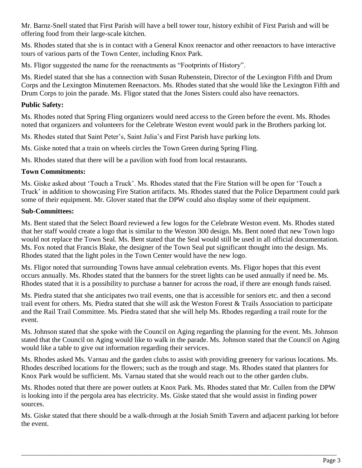Mr. Barnz-Snell stated that First Parish will have a bell tower tour, history exhibit of First Parish and will be offering food from their large-scale kitchen.

Ms. Rhodes stated that she is in contact with a General Knox reenactor and other reenactors to have interactive tours of various parts of the Town Center, including Knox Park.

Ms. Fligor suggested the name for the reenactments as "Footprints of History".

Ms. Riedel stated that she has a connection with Susan Rubenstein, Director of the Lexington Fifth and Drum Corps and the Lexington Minutemen Reenactors. Ms. Rhodes stated that she would like the Lexington Fifth and Drum Corps to join the parade. Ms. Fligor stated that the Jones Sisters could also have reenactors.

# **Public Safety:**

Ms. Rhodes noted that Spring Fling organizers would need access to the Green before the event. Ms. Rhodes noted that organizers and volunteers for the Celebrate Weston event would park in the Brothers parking lot.

Ms. Rhodes stated that Saint Peter's, Saint Julia's and First Parish have parking lots.

Ms. Giske noted that a train on wheels circles the Town Green during Spring Fling.

Ms. Rhodes stated that there will be a pavilion with food from local restaurants.

## **Town Commitments:**

Ms. Giske asked about 'Touch a Truck'. Ms. Rhodes stated that the Fire Station will be open for 'Touch a Truck' in addition to showcasing Fire Station artifacts. Ms. Rhodes stated that the Police Department could park some of their equipment. Mr. Glover stated that the DPW could also display some of their equipment.

## **Sub-Committees:**

Ms. Bent stated that the Select Board reviewed a few logos for the Celebrate Weston event. Ms. Rhodes stated that her staff would create a logo that is similar to the Weston 300 design. Ms. Bent noted that new Town logo would not replace the Town Seal. Ms. Bent stated that the Seal would still be used in all official documentation. Ms. Fox noted that Francis Blake, the designer of the Town Seal put significant thought into the design. Ms. Rhodes stated that the light poles in the Town Center would have the new logo.

Ms. Fligor noted that surrounding Towns have annual celebration events. Ms. Fligor hopes that this event occurs annually. Ms. Rhodes stated that the banners for the street lights can be used annually if need be. Ms. Rhodes stated that it is a possibility to purchase a banner for across the road, if there are enough funds raised.

Ms. Piedra stated that she anticipates two trail events, one that is accessible for seniors etc. and then a second trail event for others. Ms. Piedra stated that she will ask the Weston Forest & Trails Association to participate and the Rail Trail Committee. Ms. Piedra stated that she will help Ms. Rhodes regarding a trail route for the event.

Ms. Johnson stated that she spoke with the Council on Aging regarding the planning for the event. Ms. Johnson stated that the Council on Aging would like to walk in the parade. Ms. Johnson stated that the Council on Aging would like a table to give out information regarding their services.

Ms. Rhodes asked Ms. Varnau and the garden clubs to assist with providing greenery for various locations. Ms. Rhodes described locations for the flowers; such as the trough and stage. Ms. Rhodes stated that planters for Knox Park would be sufficient. Ms. Varnau stated that she would reach out to the other garden clubs.

Ms. Rhodes noted that there are power outlets at Knox Park. Ms. Rhodes stated that Mr. Cullen from the DPW is looking into if the pergola area has electricity. Ms. Giske stated that she would assist in finding power sources.

Ms. Giske stated that there should be a walk-through at the Josiah Smith Tavern and adjacent parking lot before the event.

\_\_\_\_\_\_\_\_\_\_\_\_\_\_\_\_\_\_\_\_\_\_\_\_\_\_\_\_\_\_\_\_\_\_\_\_\_\_\_\_\_\_\_\_\_\_\_\_\_\_\_\_\_\_\_\_\_\_\_\_\_\_\_\_\_\_\_\_\_\_\_\_\_\_\_\_\_\_\_\_\_\_\_\_\_\_\_\_\_\_\_\_\_\_\_\_\_